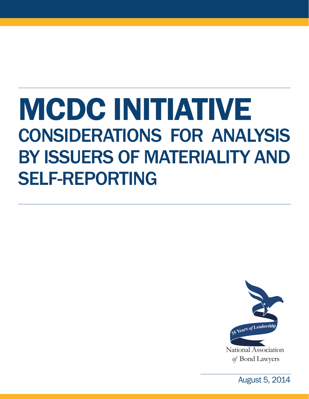# MCDC INITIATIVE CONSIDERATIONS FOR ANALYSIS BY ISSUERS OF MATERIALITY AND SELF-REPORTING



*of* Bond Lawyers

August 5, 2014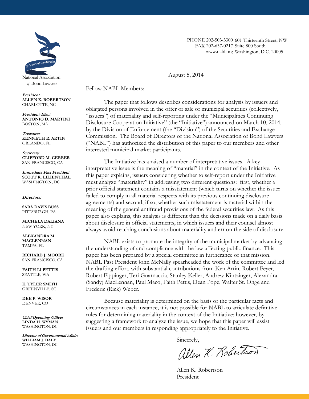

*of* Bond Lawyers

**President ALLEN K. ROBERTSON**  CHARLOTTE, NC

**President-Elect ANTONIO D. MARTINI**  BOSTON, MA

**Treasurer KENNETH R. ARTIN**  ORLANDO, FL

**Secretary CLIFFORD M. GERBER**  SAN FRANCISCO, CA

**Immediate Past President SCOTT R. LILIENTHAL**  WASHINGTON, DC

#### **Directors:**

**SARA DAVIS BUSS**  PITTSBURGH, PA

**MICHELA DALIANA**  NEW YORK, NY

**ALEXANDRA M. MACLENNAN**  TAMPA, FL

**RICHARD J. MOORE**  SAN FRANCISCO, CA

**FAITH LI PETTIS**  SEATTLE, WA

**E. TYLER SMITH**  GREENVILLE, SC

**DEE P. WISOR**  DENVER, CO

**Chief Operating Officer LINDA H. WYMAN**  WASHINGTON, DC

**Director of Governmental Affairs WILLIAM J. DALY**  WASHINGTON, DC

PHONE 202-503-3300 601 Thirteenth Street, NW FAX 202-637-0217 Suite 800 South www.nabl.org Washington, D.C. 20005

August 5, 2014

Fellow NABL Members:

Sidley Austin LLP

The paper that follows describes considerations for analysis by issuers and Disclosure Cooperation Initiative" (the "Initiative") announced on March 10, 2014, by the Division of Enforcement (the "Division") of the Securities and Exchange Commission. The Board of Directors of the National Association of Bond Lawyers ("NABL") has authorized the distribution of this paper to our members and other  $\frac{1}{2}$   $\frac{1}{2}$   $\frac{1}{2}$   $\frac{1}{2}$   $\frac{1}{2}$   $\frac{1}{2}$   $\frac{1}{2}$   $\frac{1}{2}$   $\frac{1}{2}$   $\frac{1}{2}$   $\frac{1}{2}$   $\frac{1}{2}$   $\frac{1}{2}$   $\frac{1}{2}$   $\frac{1}{2}$   $\frac{1}{2}$   $\frac{1}{2}$   $\frac{1}{2}$   $\frac{1}{2}$   $\frac{1}{2}$   $\frac{1}{2}$   $\frac{1}{2}$  merested munerpar mans The municipal market participants.  $P^{\text{auto.}}$ obligated persons involved in the offer or sale of municipal securities (collectively, "issuers") of materiality and self-reporting under the "Municipalities Continuing

interpretative issue is the meaning of "material" in the context of the Initiative. As richard *Paper* explain.  $\frac{1}{2}$  must analyze materi prior official statement contains a misstatement (which turns on whether the issuer failed to comply in all material respects with its previous continuing disclosure agreements) and second, if so, whether such misstatement is material within the meaning of the general antifraud provisions of the federal securities law. As this paper also explains, this analysis is different than the decisions made on a daily basis always avoid reaching conclusions about materiality and err on the side of disclosure. meerpreative issue is the meaning of material in the context of the Initiative.<br>this paper explains, issuers considering whether to self-report under the Initiative  $\frac{300}{100}$  whence to sen-rep must analyze "materiality" in addressing two different questions: first, whether a about disclosure in official statements, in which issuers and their counsel almost The Initiative has a raised a number of interpretative issues. A key

NABL exists to promote the integrity of the municipal market by advancing the understanding of and compliance with the law affecting public finance. This paper has been prepared by a special committee in furtherance of that mission. Pupes and Strategies by a september of the committee of the committee and led NABL Past President John McNally spearheaded the work of the committee and led *Mic* dialing choit, Kobelt Fippinge (Sandy) MacLennan, Paul Maco, Faith Pettis, Dean Pope, Walter St. Onge and Frederic (Rick) Weber. the drafting effort, with substantial contributions from Ken Artin, Robert Feyer,  $\frac{1}{26}$   $\frac{1}{26}$   $\frac{1}{26}$   $\frac{1}{26}$   $\frac{1}{26}$   $\frac{1}{26}$   $\frac{1}{26}$   $\frac{1}{26}$   $\frac{1}{26}$ Robert Fippinger, Teri Guarnaccia, Stanley Keller, Andrew Kintzinger, Alexandra

 $\frac{1}{2}$ 

Washington, DC 20036 Decause materiality circumstances in each instance, it is not possible for NABL to articulate definitive rules for determining materiality in the context of the Initiative; however, by suggesting a framework to analyze the issue, we hope that this paper will assist issuers and our members in responding appropriately to the Initiative. **Vanessa Albert Lowry**  Because materiality is determined on the basis of the particular facts and

Sincerely,<br>allen K. Robertson

Allen K. Robertson President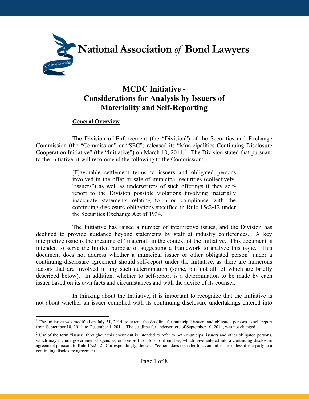

## **MCDC Initiative - Considerations for Analysis by Issuers of Materiality and Self-Reporting**

### **General Overview**

The Division of Enforcement (the "Division") of the Securities and Exchange Commission (the "Commission" or "SEC") released its "Municipalities Continuing Disclosure Cooperation Initiative" (the "Initiative") on March 10, 2014.<sup>1</sup> The Division stated that pursuant to the Initiative, it will recommend the following to the Commission:

> [F]avorable settlement terms to issuers and obligated persons involved in the offer or sale of municipal securities (collectively, "issuers") as well as underwriters of such offerings if they selfreport to the Division possible violations involving materially inaccurate statements relating to prior compliance with the continuing disclosure obligations specified in Rule 15c2-12 under the Securities Exchange Act of 1934.

The Initiative has raised a number of interpretive issues, and the Division has declined to provide guidance beyond statements by staff at industry conferences. A key interpretive issue is the meaning of "material" in the context of the Initiative. This document is intended to serve the limited purpose of suggesting a framework to analyze this issue. This document does not address whether a municipal issuer or other obligated person<sup>2</sup> under a continuing disclosure agreement should self-report under the Initiative, as there are numerous factors that are involved in any such determination (some, but not all, of which are briefly described below). In addition, whether to self-report is a determination to be made by each issuer based on its own facts and circumstances and with the advice of its counsel.

In thinking about the Initiative, it is important to recognize that the Initiative is not about whether an issuer complied with its continuing disclosure undertakings entered into

<sup>&</sup>lt;sup>1</sup> The Initiative was modified on July 31, 2014, to extend the deadline for municipal issuers and obligated persons to self-report from September 10, 2014, to December 1, 2014. The deadline for underwriters of September 10, 2014, was not changed.

<sup>&</sup>lt;sup>2</sup> Use of the term "issuer" throughout this document is intended to refer to both municipal issuers and other obligated persons, which may include governmental agencies, or non-profit or for-profit entities, which have entered into a continuing disclosure agreement pursuant to Rule 15c2-12. Correspondingly, the term "issuer" does not refer to a conduit issuer unless it is a party to a continuing disclosure agreement.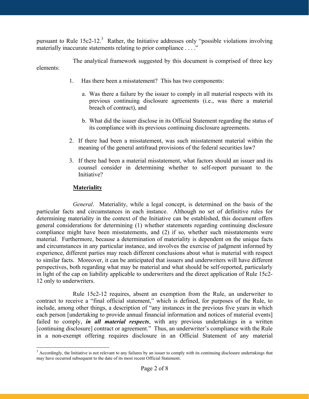pursuant to Rule  $15c2-12$ <sup>3</sup> Rather, the Initiative addresses only "possible violations involving materially inaccurate statements relating to prior compliance  $\dots$ .

The analytical framework suggested by this document is comprised of three key elements:

- 1. Has there been a misstatement? This has two components:
	- a. Was there a failure by the issuer to comply in all material respects with its previous continuing disclosure agreements (i.e., was there a material breach of contract), and
	- b. What did the issuer disclose in its Official Statement regarding the status of its compliance with its previous continuing disclosure agreements.
- 2. If there had been a misstatement, was such misstatement material within the meaning of the general antifraud provisions of the federal securities law?
- 3. If there had been a material misstatement, what factors should an issuer and its counsel consider in determining whether to self-report pursuant to the Initiative?

#### **Materiality**

*General*. Materiality, while a legal concept, is determined on the basis of the particular facts and circumstances in each instance. Although no set of definitive rules for determining materiality in the context of the Initiative can be established, this document offers general considerations for determining (1) whether statements regarding continuing disclosure compliance might have been misstatements, and (2) if so, whether such misstatements were material. Furthermore, because a determination of materiality is dependent on the unique facts and circumstances in any particular instance, and involves the exercise of judgment informed by experience, different parties may reach different conclusions about what is material with respect to similar facts. Moreover, it can be anticipated that issuers and underwriters will have different perspectives, both regarding what may be material and what should be self-reported, particularly in light of the cap on liability applicable to underwriters and the direct application of Rule 15c2- 12 only to underwriters.

Rule 15c2-12 requires, absent an exemption from the Rule, an underwriter to contract to receive a "final official statement," which is defined, for purposes of the Rule, to include, among other things, a description of "any instances in the previous five years in which each person [undertaking to provide annual financial information and notices of material events] failed to comply, *in all material respects*, with any previous undertakings in a written [continuing disclosure] contract or agreement." Thus, an underwriter's compliance with the Rule in a non-exempt offering requires disclosure in an Official Statement of any material

<sup>&</sup>lt;sup>3</sup> Accordingly, the Initiative is not relevant to any failures by an issuer to comply with its continuing disclosure undertakings that may have occurred subsequent to the date of its most recent Official Statement.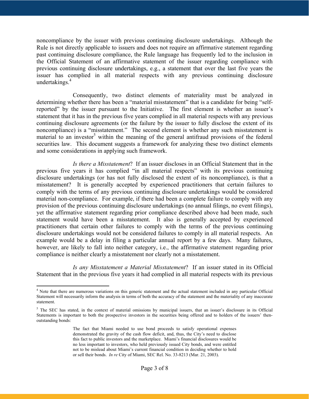noncompliance by the issuer with previous continuing disclosure undertakings. Although the Rule is not directly applicable to issuers and does not require an affirmative statement regarding past continuing disclosure compliance, the Rule language has frequently led to the inclusion in the Official Statement of an affirmative statement of the issuer regarding compliance with previous continuing disclosure undertakings, e.g., a statement that over the last five years the issuer has complied in all material respects with any previous continuing disclosure undertakings.<sup>4</sup>

Consequently, two distinct elements of materiality must be analyzed in determining whether there has been a "material misstatement" that is a candidate for being "selfreported" by the issuer pursuant to the Initiative. The first element is whether an issuer's statement that it has in the previous five years complied in all material respects with any previous continuing disclosure agreements (or the failure by the issuer to fully disclose the extent of its noncompliance) is a "misstatement." The second element is whether any such misstatement is material to an investor<sup>5</sup> within the meaning of the general antifraud provisions of the federal securities law. This document suggests a framework for analyzing these two distinct elements and some considerations in applying such framework.

*Is there a Misstatement*? If an issuer discloses in an Official Statement that in the previous five years it has complied "in all material respects" with its previous continuing disclosure undertakings (or has not fully disclosed the extent of its noncompliance), is that a misstatement? It is generally accepted by experienced practitioners that certain failures to comply with the terms of any previous continuing disclosure undertakings would be considered material non-compliance. For example, if there had been a complete failure to comply with any provision of the previous continuing disclosure undertakings (no annual filings, no event filings), yet the affirmative statement regarding prior compliance described above had been made, such statement would have been a misstatement. It also is generally accepted by experienced practitioners that certain other failures to comply with the terms of the previous continuing disclosure undertakings would not be considered failures to comply in all material respects. An example would be a delay in filing a particular annual report by a few days. Many failures, however, are likely to fall into neither category, i.e., the affirmative statement regarding prior compliance is neither clearly a misstatement nor clearly not a misstatement.

*Is any Misstatement a Material Misstatement*? If an issuer stated in its Official Statement that in the previous five years it had complied in all material respects with its previous

<sup>&</sup>lt;sup>4</sup> Note that there are numerous variations on this generic statement and the actual statement included in any particular Official Statement will necessarily inform the analysis in terms of both the accuracy of the statement and the materiality of any inaccurate statement.

 $5$  The SEC has stated, in the context of material omissions by municipal issuers, that an issuer's disclosure in its Official Statements is important to both the prospective investors in the securities being offered and to holders of the issuers' thenoutstanding bonds:

The fact that Miami needed to use bond proceeds to satisfy operational expenses demonstrated the gravity of the cash flow deficit, and, thus, the City's need to disclose this fact to public investors and the marketplace. Miami's financial disclosures would be no less important to investors, who held previously issued City bonds, and were entitled not to be mislead about Miami's current financial condition in deciding whether to hold or sell their bonds. *In re* City of Miami, SEC Rel. No. 33-8213 (Mar. 21, 2003).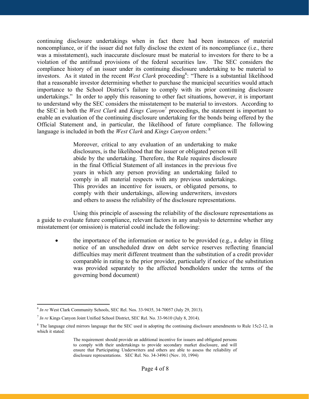continuing disclosure undertakings when in fact there had been instances of material noncompliance, or if the issuer did not fully disclose the extent of its noncompliance (i.e., there was a misstatement), such inaccurate disclosure must be material to investors for there to be a violation of the antifraud provisions of the federal securities law. The SEC considers the compliance history of an issuer under its continuing disclosure undertaking to be material to investors. As it stated in the recent *West Clark* proceeding<sup>6</sup>: "There is a substantial likelihood that a reasonable investor determining whether to purchase the municipal securities would attach importance to the School District's failure to comply with its prior continuing disclosure undertakings." In order to apply this reasoning to other fact situations, however, it is important to understand why the SEC considers the misstatement to be material to investors. According to the SEC in both the *West Clark* and *Kings Canyon*<sup>7</sup> proceedings, the statement is important to enable an evaluation of the continuing disclosure undertaking for the bonds being offered by the Official Statement and, in particular, the likelihood of future compliance. The following language is included in both the *West Clark* and *Kings Canyon* orders:<sup>8</sup>

> Moreover, critical to any evaluation of an undertaking to make disclosures, is the likelihood that the issuer or obligated person will abide by the undertaking. Therefore, the Rule requires disclosure in the final Official Statement of all instances in the previous five years in which any person providing an undertaking failed to comply in all material respects with any previous undertakings. This provides an incentive for issuers, or obligated persons, to comply with their undertakings, allowing underwriters, investors and others to assess the reliability of the disclosure representations.

Using this principle of assessing the reliability of the disclosure representations as a guide to evaluate future compliance, relevant factors in any analysis to determine whether any misstatement (or omission) is material could include the following:

 the importance of the information or notice to be provided (e.g., a delay in filing notice of an unscheduled draw on debt service reserves reflecting financial difficulties may merit different treatment than the substitution of a credit provider comparable in rating to the prior provider, particularly if notice of the substitution was provided separately to the affected bondholders under the terms of the governing bond document)

<sup>6</sup> *In re* West Clark Community Schools, SEC Rel. Nos. 33-9435, 34-70057 (July 29, 2013).

<sup>7</sup> *In re* Kings Canyon Joint Unified School District, SEC Rel. No. 33-9610 (July 8, 2014).

 $8$  The language cited mirrors language that the SEC used in adopting the continuing disclosure amendments to Rule 15c2-12, in which it stated:

The requirement should provide an additional incentive for issuers and obligated persons to comply with their undertakings to provide secondary market disclosure, and will ensure that Participating Underwriters and others are able to assess the reliability of disclosure representations. SEC Rel. No. 34-34961 (Nov. 10, 1994)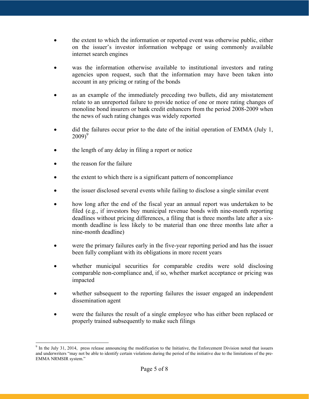- the extent to which the information or reported event was otherwise public, either on the issuer's investor information webpage or using commonly available internet search engines
- was the information otherwise available to institutional investors and rating agencies upon request, such that the information may have been taken into account in any pricing or rating of the bonds
- as an example of the immediately preceding two bullets, did any misstatement relate to an unreported failure to provide notice of one or more rating changes of monoline bond insurers or bank credit enhancers from the period 2008-2009 when the news of such rating changes was widely reported
- did the failures occur prior to the date of the initial operation of EMMA (July 1,  $2009<sup>9</sup>$
- the length of any delay in filing a report or notice
- the reason for the failure
- the extent to which there is a significant pattern of noncompliance
- the issuer disclosed several events while failing to disclose a single similar event
- how long after the end of the fiscal year an annual report was undertaken to be filed (e.g., if investors buy municipal revenue bonds with nine-month reporting deadlines without pricing differences, a filing that is three months late after a sixmonth deadline is less likely to be material than one three months late after a nine-month deadline)
- were the primary failures early in the five-year reporting period and has the issuer been fully compliant with its obligations in more recent years
- whether municipal securities for comparable credits were sold disclosing comparable non-compliance and, if so, whether market acceptance or pricing was impacted
- whether subsequent to the reporting failures the issuer engaged an independent dissemination agent
- were the failures the result of a single employee who has either been replaced or properly trained subsequently to make such filings

 $9$  In the July 31, 2014, press release announcing the modification to the Initiative, the Enforcement Division noted that issuers and underwriters "may not be able to identify certain violations during the period of the initiative due to the limitations of the pre-EMMA NRMSIR system."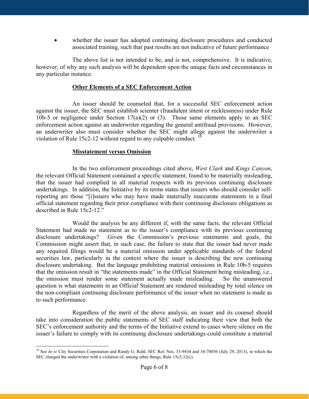whether the issuer has adopted continuing disclosure procedures and conducted associated training, such that past results are not indicative of future performance

The above list is not intended to be, and is not, comprehensive. It is indicative, however, of why any such analysis will be dependent upon the unique facts and circumstances in any particular instance.

#### **Other Elements of a SEC Enforcement Action**

An issuer should be counseled that, for a successful SEC enforcement action against the issuer, the SEC must establish scienter (fraudulent intent or recklessness) under Rule 10b-5 or negligence under Section  $17(a)(2)$  or (3). Those same elements apply to an SEC enforcement action against an underwriter regarding the general antifraud provisions. However, an underwriter also must consider whether the SEC might allege against the underwriter a violation of Rule 15c2-12 without regard to any culpable conduct.  $10$ 

#### **Misstatement versus Omission**

In the two enforcement proceedings cited above, *West Clark* and *Kings Canyon*, the relevant Official Statement contained a specific statement, found to be materially misleading, that the issuer had complied in all material respects with its previous continuing disclosure undertakings. In addition, the Initiative by its terms states that issuers who should consider selfreporting are those "[i]ssuers who may have made materially inaccurate statements in a final official statement regarding their prior compliance with their continuing disclosure obligations as described in Rule 15c2-12."

Would the analysis be any different if, with the same facts, the relevant Official Statement had made no statement as to the issuer's compliance with its previous continuing disclosure undertakings? Given the Commission's previous statements and goals, the Commission might assert that, in such case, the failure to state that the issuer had never made any required filings would be a material omission under applicable standards of the federal securities law, particularly in the context where the issuer is describing the new continuing disclosure undertaking. But the language prohibiting material omissions in Rule 10b-5 requires that the omission result in "the statements made" in the Official Statement being misleading, i.e., the omission must render some statement actually made misleading. So the unanswered question is what statements in an Official Statement are rendered misleading by total silence on the non-compliant continuing disclosure performance of the issuer when no statement is made as to such performance.

Regardless of the merit of the above analysis, an issuer and its counsel should take into consideration the public statements of SEC staff indicating their view that both the SEC's enforcement authority and the terms of the Initiative extend to cases where silence on the issuer's failure to comply with its continuing disclosure undertakings could constitute a material

<sup>&</sup>lt;sup>10</sup> See *In re* City Securities Corporation and Randy G. Ruhl, SEC Rel. Nos. 33-9434 and 34-70056 (July 29, 2013), in which the SEC charged the underwriter with a violation of, among other things, Rule 15c2-12(c).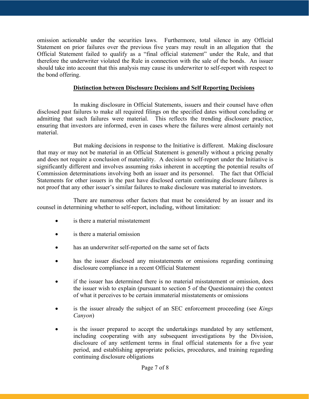omission actionable under the securities laws. Furthermore, total silence in any Official Statement on prior failures over the previous five years may result in an allegation that the Official Statement failed to qualify as a "final official statement" under the Rule, and that therefore the underwriter violated the Rule in connection with the sale of the bonds. An issuer should take into account that this analysis may cause its underwriter to self-report with respect to the bond offering.

#### **Distinction between Disclosure Decisions and Self Reporting Decisions**

In making disclosure in Official Statements, issuers and their counsel have often disclosed past failures to make all required filings on the specified dates without concluding or admitting that such failures were material. This reflects the trending disclosure practice, ensuring that investors are informed, even in cases where the failures were almost certainly not material.

But making decisions in response to the Initiative is different. Making disclosure that may or may not be material in an Official Statement is generally without a pricing penalty and does not require a conclusion of materiality. A decision to self-report under the Initiative is significantly different and involves assuming risks inherent in accepting the potential results of Commission determinations involving both an issuer and its personnel. The fact that Official Statements for other issuers in the past have disclosed certain continuing disclosure failures is not proof that any other issuer's similar failures to make disclosure was material to investors.

There are numerous other factors that must be considered by an issuer and its counsel in determining whether to self-report, including, without limitation:

- is there a material misstatement
- is there a material omission
- has an underwriter self-reported on the same set of facts
- has the issuer disclosed any misstatements or omissions regarding continuing disclosure compliance in a recent Official Statement
- if the issuer has determined there is no material misstatement or omission, does the issuer wish to explain (pursuant to section 5 of the Questionnaire) the context of what it perceives to be certain immaterial misstatements or omissions
- is the issuer already the subject of an SEC enforcement proceeding (see *Kings Canyon*)
- is the issuer prepared to accept the undertakings mandated by any settlement, including cooperating with any subsequent investigations by the Division, disclosure of any settlement terms in final official statements for a five year period, and establishing appropriate policies, procedures, and training regarding continuing disclosure obligations